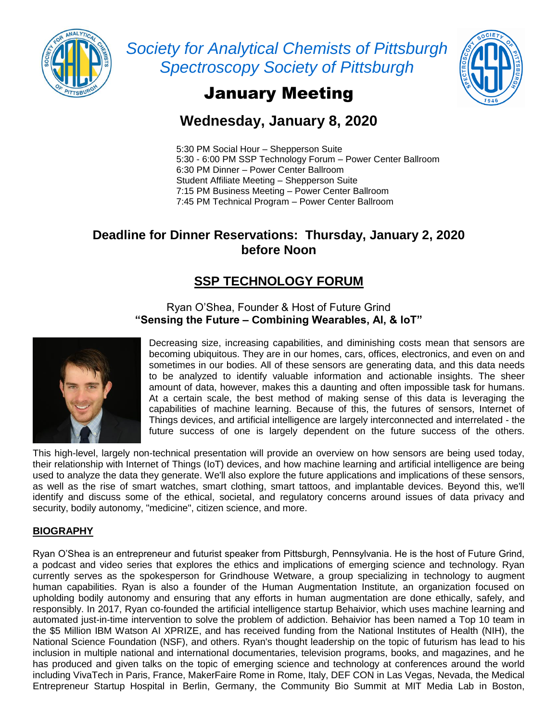

*Society for Analytical Chemists of Pittsburgh Spectroscopy Society of Pittsburgh*



# January Meeting

# **Wednesday, January 8, 2020**

5:30 PM Social Hour – Shepperson Suite 5:30 - 6:00 PM SSP Technology Forum – Power Center Ballroom 6:30 PM Dinner – Power Center Ballroom Student Affiliate Meeting – Shepperson Suite 7:15 PM Business Meeting – Power Center Ballroom 7:45 PM Technical Program – Power Center Ballroom

### **Deadline for Dinner Reservations: Thursday, January 2, 2020 before Noon**

## **SSP TECHNOLOGY FORUM**

Ryan O'Shea, Founder & Host of Future Grind **"Sensing the Future – Combining Wearables, Al, & loT"**



Decreasing size, increasing capabilities, and diminishing costs mean that sensors are becoming ubiquitous. They are in our homes, cars, offices, electronics, and even on and sometimes in our bodies. All of these sensors are generating data, and this data needs to be analyzed to identify valuable information and actionable insights. The sheer amount of data, however, makes this a daunting and often impossible task for humans. At a certain scale, the best method of making sense of this data is leveraging the capabilities of machine learning. Because of this, the futures of sensors, Internet of Things devices, and artificial intelligence are largely interconnected and interrelated - the future success of one is largely dependent on the future success of the others.

This high-level, largely non-technical presentation will provide an overview on how sensors are being used today, their relationship with Internet of Things (IoT) devices, and how machine learning and artificial intelligence are being used to analyze the data they generate. We'll also explore the future applications and implications of these sensors, as well as the rise of smart watches, smart clothing, smart tattoos, and implantable devices. Beyond this, we'll identify and discuss some of the ethical, societal, and regulatory concerns around issues of data privacy and security, bodily autonomy, "medicine", citizen science, and more.

### **BIOGRAPHY**

Ryan O'Shea is an entrepreneur and futurist speaker from Pittsburgh, Pennsylvania. He is the host of Future Grind, a podcast and video series that explores the ethics and implications of emerging science and technology. Ryan currently serves as the spokesperson for Grindhouse Wetware, a group specializing in technology to augment human capabilities. Ryan is also a founder of the Human Augmentation Institute, an organization focused on upholding bodily autonomy and ensuring that any efforts in human augmentation are done ethically, safely, and responsibly. In 2017, Ryan co-founded the artificial intelligence startup Behaivior, which uses machine learning and automated just-in-time intervention to solve the problem of addiction. Behaivior has been named a Top 10 team in the \$5 Million IBM Watson AI XPRIZE, and has received funding from the National Institutes of Health (NIH), the National Science Foundation (NSF), and others. Ryan's thought leadership on the topic of futurism has lead to his inclusion in multiple national and international documentaries, television programs, books, and magazines, and he has produced and given talks on the topic of emerging science and technology at conferences around the world including VivaTech in Paris, France, MakerFaire Rome in Rome, Italy, DEF CON in Las Vegas, Nevada, the Medical Entrepreneur Startup Hospital in Berlin, Germany, the Community Bio Summit at MIT Media Lab in Boston,